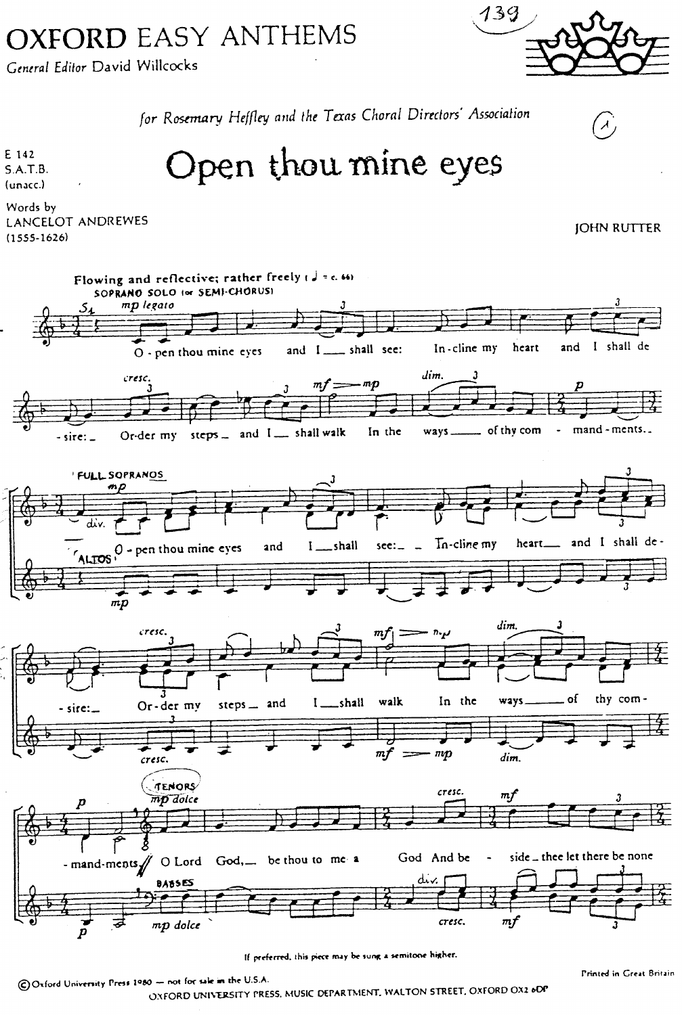## **OXFORD EASY ANTHEMS**

General Editor David Willcocks

139

 $\left( \lambda \right)$ 

**JOHN RUTTER** 

for Rosemary Heffley and the Texas Choral Directors' Association

Open thou mine eyes

E 142  $S.A.T.B.$ (unacc.)

Words by LANCELOT ANDREWES  $(1555 - 1626)$ 



COxford University Press 1980 - not for sale in the U.S.A.

OXFORD UNIVERSITY PRESS, MUSIC DEPARTMENT, WALTON STREET, OXFORD OX2 6DP